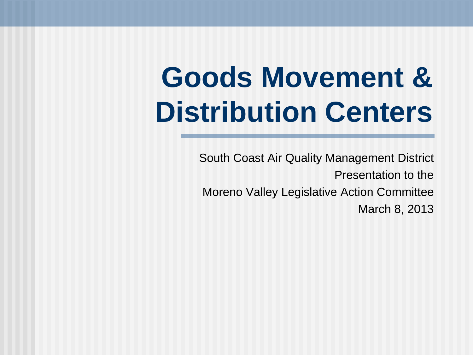## **Goods Movement & Distribution Centers**

South Coast Air Quality Management District Presentation to the Moreno Valley Legislative Action Committee March 8, 2013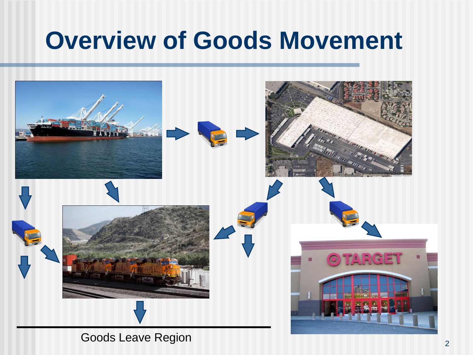### **Overview of Goods Movement**



2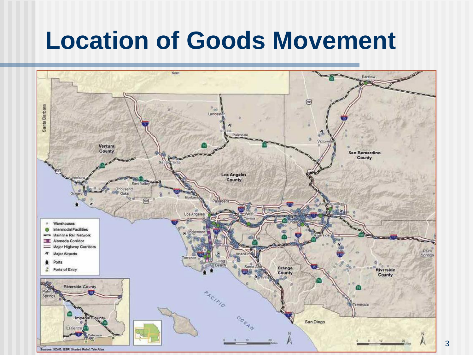### **Location of Goods Movement**

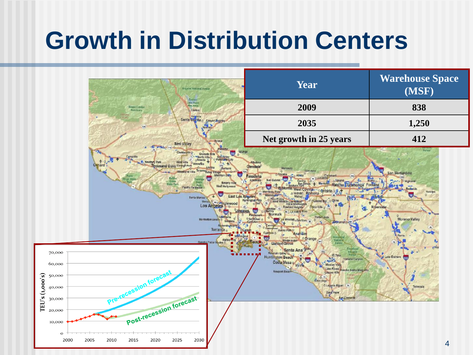### **Growth in Distribution Centers**

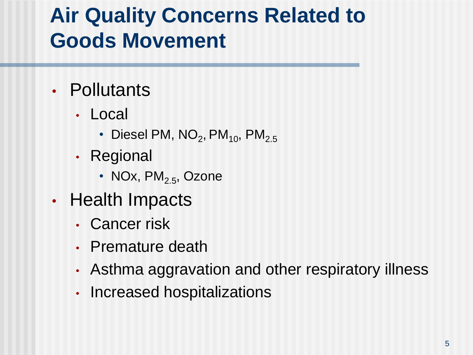#### **Air Quality Concerns Related to Goods Movement**

- Pollutants
	- Local
		- Diesel PM, NO $_2$ , PM $_{\rm 10}$ , PM $_{\rm 2.5}$
	- Regional
		- NOx,  $PM<sub>2.5</sub>$ , Ozone
- Health Impacts
	- Cancer risk
	- Premature death
	- Asthma aggravation and other respiratory illness
	- Increased hospitalizations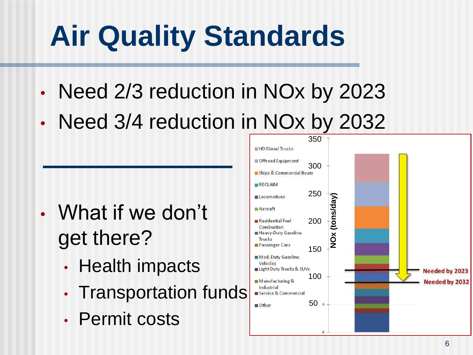# **Air Quality Standards**

- Need 2/3 reduction in NOx by 2023
- Need 3/4 reduction in NOx by 2032

- What if we don't get there?
	- Health impacts
	- Transportation funds
	- Permit costs

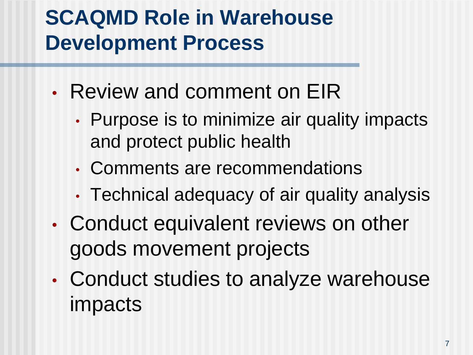#### **SCAQMD Role in Warehouse Development Process**

- Review and comment on EIR
	- Purpose is to minimize air quality impacts and protect public health
	- Comments are recommendations
	- Technical adequacy of air quality analysis
- Conduct equivalent reviews on other goods movement projects
- Conduct studies to analyze warehouse impacts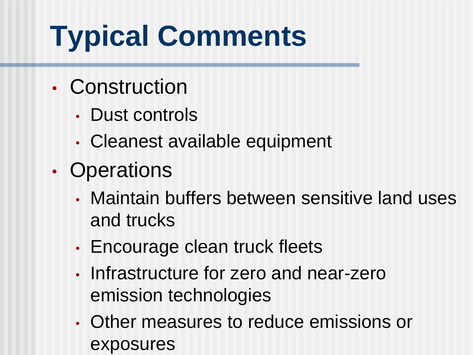# **Typical Comments**

- Construction
	- Dust controls
	- Cleanest available equipment
- Operations
	- Maintain buffers between sensitive land uses and trucks
	- Encourage clean truck fleets
	- Infrastructure for zero and near-zero emission technologies
	- Other measures to reduce emissions or exposures